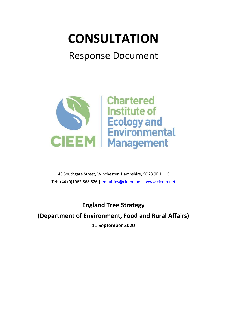# **CONSULTATION**

# Response Document



43 Southgate Street, Winchester, Hampshire, SO23 9EH, UK Tel: +44 (0)1962 868 626 | [enquiries@cieem.net](mailto:enquiries@cieem.net) | [www.cieem.net](http://www.cieem.net/)

**England Tree Strategy (Department of Environment, Food and Rural Affairs) 11 September 2020**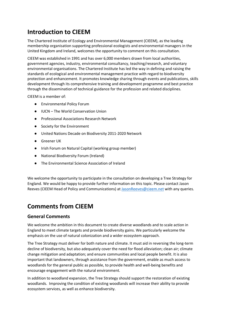## **Introduction to CIEEM**

The Chartered Institute of Ecology and Environmental Management (CIEEM), as the leading membership organisation supporting professional ecologists and environmental managers in the United Kingdom and Ireland, welcomes the opportunity to comment on this consultation.

CIEEM was established in 1991 and has over 6,000 members drawn from local authorities, government agencies, industry, environmental consultancy, teaching/research, and voluntary environmental organisations. The Chartered Institute has led the way in defining and raising the standards of ecological and environmental management practice with regard to biodiversity protection and enhancement. It promotes knowledge sharing through events and publications, skills development through its comprehensive training and development programme and best practice through the dissemination of technical guidance for the profession and related disciplines.

CIEEM is a member of:

- Environmental Policy Forum
- IUCN The World Conservation Union
- Professional Associations Research Network
- Society for the Environment
- United Nations Decade on Biodiversity 2011-2020 Network
- Greener UK
- Irish Forum on Natural Capital (working group member)
- National Biodiversity Forum (Ireland)
- The Environmental Science Association of Ireland

We welcome the opportunity to participate in the consultation on developing a Tree Strategy for England. We would be happy to provide further information on this topic. Please contact Jason Reeves (CIEEM Head of Policy and Communications) at [JasonReeves@cieem.net](mailto:JasonReeves@cieem.net) with any queries.

## **Comments from CIEEM**

#### **General Comments**

We welcome the ambition in this document to create diverse woodlands and to scale action in England to meet climate targets and provide biodiversity gains. We particularly welcome the emphasis on the use of natural colonization and a wider ecosystem approach.

The Tree Strategy must deliver for both nature and climate. It must aid in reversing the long-term decline of biodiversity, but also adequately cover the need for flood alleviation; clean air; climate change mitigation and adaptation; and ensure communities and local people benefit. It is also important that landowners, through assistance from the government, enable as much access to woodlands for the general public as possible, to provide health and well-being benefits and encourage engagement with the natural environment.

In addition to woodland expansion, the Tree Strategy should support the restoration of existing woodlands. Improving the condition of existing woodlands will increase their ability to provide ecosystem services, as well as enhance biodiversity.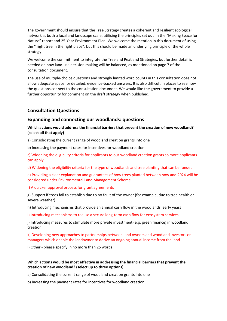The government should ensure that the Tree Strategy creates a coherent and resilient ecological network at both a local and landscape scale, utilising the principles set out in the "Making Space for Nature" report and 25-Year Environment Plan. We welcome the mention in this document of using the " right tree in the right place", but this should be made an underlying principle of the whole strategy.

We welcome the commitment to integrate the Tree and Peatland Strategies, but further detail is needed on how land-use decision making will be balanced, as mentioned on page 7 of the consultation document.

The use of multiple-choice questions and strongly limited word counts in this consultation does not allow adequate space for detailed, evidence-backed answers. It is also difficult in places to see how the questions connect to the consultation document. We would like the government to provide a further opportunity for comment on the draft strategy when published.

#### **Consultation Questions**

#### **Expanding and connecting our woodlands: questions**

#### **Which actions would address the financial barriers that prevent the creation of new woodland? (select all that apply)**

a) Consolidating the current range of woodland creation grants into one

b) Increasing the payment rates for incentives for woodland creation

c) Widening the eligibility criteria for applicants to our woodland creation grants so more applicants can apply

d) Widening the eligibility criteria for the type of woodlands and tree planting that can be funded

e) Providing a clear explanation and guarantees of how trees planted between now and 2024 will be considered under Environmental Land Management Scheme

#### f) A quicker approval process for grant agreements

g) Support if trees fail to establish due to no fault of the owner (for example, due to tree health or severe weather)

h) Introducing mechanisms that provide an annual cash flow in the woodlands' early years

i) Introducing mechanisms to realise a secure long-term cash flow for ecosystem services

j) Introducing measures to stimulate more private investment (e.g. green finance) in woodland creation

k) Developing new approaches to partnerships between land owners and woodland investors or managers which enable the landowner to derive an ongoing annual income from the land

l) Other - please specify in no more than 25 words

#### **Which actions would be most effective in addressing the financial barriers that prevent the creation of new woodland? (select up to three options)**

a) Consolidating the current range of woodland creation grants into one

b) Increasing the payment rates for incentives for woodland creation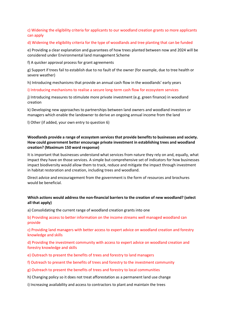#### c) Widening the eligibility criteria for applicants to our woodland creation grants so more applicants can apply

#### d) Widening the eligibility criteria for the type of woodlands and tree planting that can be funded

e) Providing a clear explanation and guarantees of how trees planted between now and 2024 will be considered under Environmental land management Scheme

f) A quicker approval process for grant agreements

g) Support if trees fail to establish due to no fault of the owner (for example, due to tree health or severe weather)

h) Introducing mechanisms that provide an annual cash flow in the woodlands' early years

i) Introducing mechanisms to realise a secure long-term cash flow for ecosystem services

j) Introducing measures to stimulate more private investment (e.g. green finance) in woodland creation

k) Developing new approaches to partnerships between land owners and woodland investors or managers which enable the landowner to derive an ongoing annual income from the land

l) Other (if added, your own entry to question 6)

#### **Woodlands provide a range of ecosystem services that provide benefits to businesses and society. How could government better encourage private investment in establishing trees and woodland creation? (Maximum 150 word response)**

It is important that businesses understand what services from nature they rely on and, equally, what impact they have on those services. A simple but comprehensive set of indicators for how businesses impact biodiversity would allow them to track, reduce and mitigate the impact through investment in habitat restoration and creation, including trees and woodland.

Direct advice and encouragement from the government is the form of resources and brochures would be beneficial.

#### **Which actions would address the non-financial barriers to the creation of new woodland? (select all that apply)**

a) Consolidating the current range of woodland creation grants into one

b) Providing access to better information on the income streams well managed woodland can provide

c) Providing land managers with better access to expert advice on woodland creation and forestry knowledge and skills

d) Providing the investment community with access to expert advice on woodland creation and forestry knowledge and skills

- e) Outreach to present the benefits of trees and forestry to land managers
- f) Outreach to present the benefits of trees and forestry to the investment community
- g) Outreach to present the benefits of trees and forestry to local communities
- h) Changing policy so it does not treat afforestation as a permanent land use change
- i) Increasing availability and access to contractors to plant and maintain the trees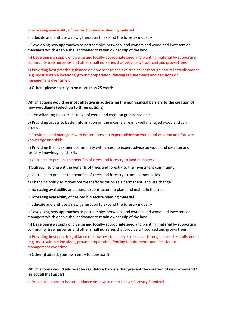#### j) Increasing availability of desired bio secure planting material

k) Educate and enthuse a new generation to expand the forestry industry

l) Developing new approaches to partnerships between land owners and woodland investors or managers which enable the landowner to retain ownership of the land

m) Developing a supply of diverse and locally-appropriate seed and planting material by supporting community tree nurseries and other small nurseries that provide UK sourced and grown trees.

n) Providing best practice guidance on how best to achieve tree cover through natural establishment (e.g. most suitable locations, ground preparation, fencing requirements and decisions on management over time).

o) Other - please specify in no more than 25 words

#### **Which actions would be most effective in addressing the nonfinancial barriers to the creation of new woodland? (select up to three options)**

a) Consolidating the current range of woodland creation grants into one

b) Providing access to better information on the income streams well managed woodland can provide

#### c) Providing land managers with better access to expert advice on woodland creation and forestry knowledge and skills

d) Providing the investment community with access to expert advice on woodland creation and forestry knowledge and skills

#### e) Outreach to present the benefits of trees and forestry to land managers

f) Outreach to present the benefits of trees and forestry to the investment community

g) Outreach to present the benefits of trees and forestry to local communities

h) Changing policy so it does not treat afforestation as a permanent land use change

i) Increasing availability and access to contractors to plant and maintain the trees

j) Increasing availability of desired bio secure planting material

k) Educate and enthuse a new generation to expand the forestry industry

l) Developing new approaches to partnerships between land owners and woodland investors or managers which enable the landowner to retain ownership of the land

m) Developing a supply of diverse and locally-appropriate seed and planting material by supporting community tree nurseries and other small nurseries that provide UK sourced and grown trees.

n) Providing best practice guidance on how best to achieve tree cover through natural establishment (e.g. most suitable locations, ground preparation, fencing requirements and decisions on management over time)

o) Other (if added, your own entry to question 9)

#### **Which actions would address the regulatory barriers that prevent the creation of new woodland? (select all that apply)**

a) Providing access to better guidance on how to meet the UK Forestry Standard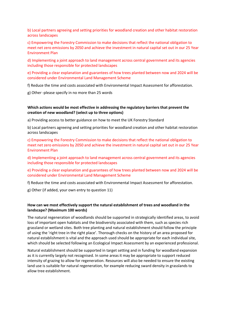b) Local partners agreeing and setting priorities for woodland creation and other habitat restoration across landscapes

c) Empowering the Forestry Commission to make decisions that reflect the national obligation to meet net zero emissions by 2050 and achieve the investment in natural capital set out in our 25 Year Environment Plan

d) Implementing a joint approach to land management across central government and its agencies including those responsible for protected landscapes

e) Providing a clear explanation and guarantees of how trees planted between now and 2024 will be considered under Environmental Land Management Scheme

f) Reduce the time and costs associated with Environmental Impact Assessment for afforestation.

g) Other -please specify in no more than 25 words

#### **Which actions would be most effective in addressing the regulatory barriers that prevent the creation of new woodland? (select up to three options)**

a) Providing access to better guidance on how to meet the UK Forestry Standard

b) Local partners agreeing and setting priorities for woodland creation and other habitat restoration across landscapes

c) Empowering the Forestry Commission to make decisions that reflect the national obligation to meet net zero emissions by 2050 and achieve the investment in natural capital set out in our 25 Year Environment Plan

d) Implementing a joint approach to land management across central government and its agencies including those responsible for protected landscapes

e) Providing a clear explanation and guarantees of how trees planted between now and 2024 will be considered under Environmental Land Management Scheme

f) Reduce the time and costs associated with Environmental Impact Assessment for afforestation.

g) Other (if added, your own entry to question 11)

#### **How can we most effectively support the natural establishment of trees and woodland in the landscape? (Maximum 100 words)**

The natural regeneration of woodlands should be supported in strategically identified areas, to avoid loss of important open habitats and the biodiversity associated with them, such as species rich grassland or wetland sites. Both tree planting and natural establishment should follow the principle of using the 'right tree in the right place'. Thorough checks on the history of an area proposed for natural establishment is vital and the approach used should be appropriate for each individual site, which should be selected following an Ecological Impact Assessment by an experienced professional.

Natural establishment should be supported in target setting and in funding for woodland expansion as it is currently largely not recognised. In some areas it may be appropriate to support reduced intensity of grazing to allow for regeneration. Resources will also be needed to ensure the existing land use is suitable for natural regeneration, for example reducing sward density in grasslands to allow tree establishment.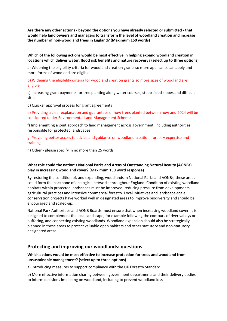**Are there any other actions - beyond the options you have already selected or submitted - that would help land owners and managers to transform the level of woodland creation and increase the number of non-woodland trees in England? (Maximum 150 words)**

#### **Which of the following actions would be most effective in helping expand woodland creation in locations which deliver water, flood risk benefits and nature recovery? (select up to three options)**

a) Widening the eligibility criteria for woodland creation grants so more applicants can apply and more forms of woodland are eligible

b) Widening the eligibility criteria for woodland creation grants so more sizes of woodland are eligible

c) Increasing grant payments for tree planting along water courses, steep sided slopes and difficult sites

d) Quicker approval process for grant agreements

e) Providing a clear explanation and guarantees of how trees planted between now and 2024 will be considered under Environmental Land Management Scheme

f) Implementing a joint approach to land management across government, including authorities responsible for protected landscapes

g) Providing better access to advice and guidance on woodland creation, forestry expertise and training

h) Other - please specify in no more than 25 words

#### **What role could the nation's National Parks and Areas of Outstanding Natural Beauty (AONBs) play in increasing woodland cover? (Maximum 150 word response)**

By restoring the condition of, and expanding, woodlands in National Parks and AONBs, these areas could form the backbone of ecological networks throughout England. Condition of existing woodland habitats within protected landscapes must be improved, reducing pressure from developments, agricultural practices and intensive commercial forestry. Local initiatives and landscape-scale conservation projects have worked well in designated areas to improve biodiversity and should be encouraged and scaled-up.

National Park Authorities and AONB Boards must ensure that when increasing woodland cover, it is designed to complement the local landscape, for example following the contours of river valleys or buffering, and connecting existing woodlands. Woodland expansion should also be strategically planned in these areas to protect valuable open habitats and other statutory and non-statutory designated areas.

#### **Protecting and improving our woodlands: questions**

#### **Which actions would be most effective to increase protection for trees and woodland from unsustainable management? (select up to three options)**

a) Introducing measures to support compliance with the UK Forestry Standard

b) More effective information sharing between government departments and their delivery bodies to inform decisions impacting on woodland, including to prevent woodland loss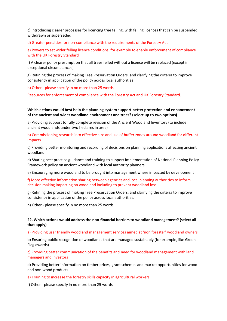c) Introducing clearer processes for licencing tree felling, with felling licences that can be suspended, withdrawn or superseded

d) Greater penalties for non-compliance with the requirements of the Forestry Act

e) Powers to set wider felling licence conditions, for example to enable enforcement of compliance with the UK Forestry Standard

f) A clearer policy presumption that all trees felled without a licence will be replaced (except in exceptional circumstances)

g) Refining the process of making Tree Preservation Orders, and clarifying the criteria to improve consistency in application of the policy across local authorities

h) Other - please specify in no more than 25 words

Resources for enforcement of compliance with the Forestry Act and UK Forestry Standard.

**Which actions would best help the planning system support better protection and enhancement of the ancient and wider woodland environment and trees? (select up to two options)**

a) Providing support to fully complete revision of the Ancient Woodland Inventory (to include ancient woodlands under two hectares in area)

b) Commissioning research into effective size and use of buffer zones around woodland for different impacts

c) Providing better monitoring and recording of decisions on planning applications affecting ancient woodland

d) Sharing best practice guidance and training to support implementation of National Planning Policy Framework policy on ancient woodland with local authority planners

e) Encouraging more woodland to be brought into management where impacted by development

f) More effective information sharing between agencies and local planning authorities to inform decision making impacting on woodland including to prevent woodland loss

g) Refining the process of making Tree Preservation Orders, and clarifying the criteria to improve consistency in application of the policy across local authorities.

h) Other - please specify in no more than 25 words

#### **22. Which actions would address the non-financial barriers to woodland management? (select all that apply)**

a) Providing user friendly woodland management services aimed at 'non forester' woodland owners

b) Ensuring public recognition of woodlands that are managed sustainably (for example, like Green Flag awards)

c) Providing better communication of the benefits and need for woodland management with land managers and investors

d) Providing better information on timber prices, grant schemes and market opportunities for wood and non-wood products

e) Training to increase the forestry skills capacity in agricultural workers

f) Other - please specify in no more than 25 words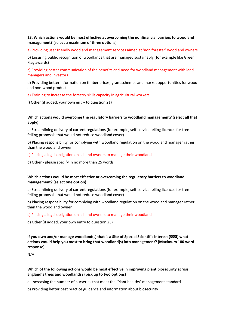#### **23. Which actions would be most effective at overcoming the nonfinancial barriers to woodland management? (select a maximum of three options)**

a) Providing user friendly woodland management services aimed at 'non forester' woodland owners

b) Ensuring public recognition of woodlands that are managed sustainably (for example like Green Flag awards)

c) Providing better communication of the benefits and need for woodland management with land managers and investors

d) Providing better information on timber prices, grant schemes and market opportunities for wood and non-wood products

e) Training to increase the forestry skills capacity in agricultural workers

f) Other (if added, your own entry to question 21)

#### **Which actions would overcome the regulatory barriers to woodland management? (select all that apply)**

a) Streamlining delivery of current regulations (for example, self-service felling licences for tree felling proposals that would not reduce woodland cover)

b) Placing responsibility for complying with woodland regulation on the woodland manager rather than the woodland owner

- c) Placing a legal obligation on all land owners to manage their woodland
- d) Other please specify in no more than 25 words

#### **Which actions would be most effective at overcoming the regulatory barriers to woodland management? (select one option)**

a) Streamlining delivery of current regulations (for example, self-service felling licences for tree felling proposals that would not reduce woodland cover)

b) Placing responsibility for complying with woodland regulation on the woodland manager rather than the woodland owner

#### c) Placing a legal obligation on all land owners to manage their woodland

d) Other (if added, your own entry to question 23)

**If you own and/or manage woodland(s) that is a Site of Special Scientific Interest (SSSI) what actions would help you most to bring that woodland(s) into management? (Maximum 100 word response)**

N/A

#### **Which of the following actions would be most effective in improving plant biosecurity across England's trees and woodlands? (pick up to two options)**

a) Increasing the number of nurseries that meet the 'Plant healthy' management standard

b) Providing better best practice guidance and information about biosecurity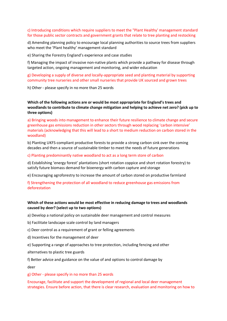#### c) Introducing conditions which require suppliers to meet the "Plant Healthy' management standard for those public sector contracts and government grants that relate to tree planting and restocking

d) Amending planning policy to encourage local planning authorities to source trees from suppliers who meet the 'Plant healthy' management standard

e) Sharing the Forestry England's experience and case studies

f) Managing the impact of invasive non-native plants which provide a pathway for disease through targeted action, ongoing management and monitoring, and wider education

g) Developing a supply of diverse and locally-appropriate seed and planting material by supporting community tree nurseries and other small nurseries that provide UK sourced and grown trees

h) Other - please specify in no more than 25 words

**Which of the following actions are or would be most appropriate for England's trees and woodlands to contribute to climate change mitigation and helping to achieve net zero? (pick up to three options)**

a) Bringing woods into management to enhance their future resilience to climate change and secure greenhouse gas emissions reduction in other sectors through wood replacing 'carbon intensive' materials (acknowledging that this will lead to a short to medium reduction on carbon stored in the woodland)

b) Planting UKFS-compliant productive forests to provide a strong carbon sink over the coming decades and then a source of sustainable timber to meet the needs of future generations

c) Planting predominantly native woodland to act as a long term store of carbon

d) Establishing 'energy forest' plantations (short rotation coppice and short rotation forestry) to satisfy future biomass demand for bioenergy with carbon capture and storage

e) Encouraging agroforestry to increase the amount of carbon stored on productive farmland

f) Strengthening the protection of all woodland to reduce greenhouse gas emissions from deforestation

#### **Which of these actions would be most effective in reducing damage to trees and woodlands caused by deer? (select up to two options)**

a) Develop a national policy on sustainable deer management and control measures

- b) Facilitate landscape scale control by land managers
- c) Deer control as a requirement of grant or felling agreements
- d) Incentives for the management of deer
- e) Supporting a range of approaches to tree protection, including fencing and other

alternatives to plastic tree guards

f) Better advice and guidance on the value of and options to control damage by

deer

g) Other - please specify in no more than 25 words

Encourage, facilitate and support the development of regional and local deer management strategies. Ensure before action, that there is clear research, evaluation and monitoring on how to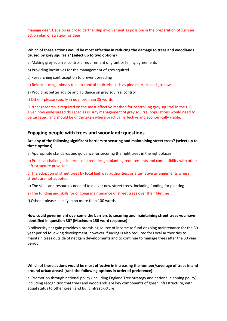manage deer. Develop as broad partnership involvement as possible in the preparation of such an action plan or strategy for deer.

#### **Which of these actions would be most effective in reducing the damage to trees and woodlands caused by grey squirrels? (select up to two options)**

- a) Making grey squirrel control a requirement of grant or felling agreements
- b) Providing incentives for the management of grey squirrel
- c) Researching contraception to prevent breeding
- d) Reintroducing animals to help control squirrels, such as pine martens and goshawks
- e) Providing better advice and guidance on grey squirrel control
- f) Other please specify in no more than 25 words

Further research is required on the most effective method for controlling grey squirrel in the UK, given how widespread this species is. Any management of grey squirrel populations would need to be targeted, and should be undertaken where practical, effective and economically viable.

#### **Engaging people with trees and woodland: questions**

#### **Are any of the following significant barriers to securing and maintaining street trees? (select up to three options)**

a) Appropriate standards and guidance for securing the right trees in the right places

b) Practical challenges in terms of street design, planting requirements and compatibility with other infrastructure provision

c) The adoption of street trees by local highway authorities, or alternative arrangements where streets are not adopted

- d) The skills and resources needed to deliver new street trees, including funding for planting
- e) The funding and skills for ongoing maintenance of street trees over their lifetime
- f) Other please specify in no more than 100 words

#### **How could government overcome the barriers to securing and maintaining street trees you have identified in question 30? (Maximum 150 word response)**

Biodiversity net gain provides a promising source of income to fund ongoing maintenance for the 30 year period following development; however, funding is also required for Local Authorities to maintain trees outside of net gain developments and to continue to manage trees after the 30 year period.

#### **Which of these actions would be most effective in increasing the number/coverage of trees in and around urban areas? (rank the following options in order of preference)**

a) Promotion through national policy (including England Tree Strategy and national planning policy) including recognition that trees and woodlands are key components of green infrastructure, with equal status to other green and built infrastructure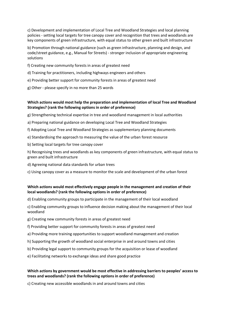c) Development and implementation of Local Tree and Woodland Strategies and local planning policies - setting local targets for tree canopy cover and recognition that trees and woodlands are key components of green infrastructure, with equal status to other green and built infrastructure

b) Promotion through national guidance (such as green infrastructure, planning and design, and code/street guidance, e.g., Manual for Streets) - stronger inclusion of appropriate engineering solutions

- f) Creating new community forests in areas of greatest need
- d) Training for practitioners, including highways engineers and others
- e) Providing better support for community forests in areas of greatest need
- g) Other please specify in no more than 25 words

#### **Which actions would most help the preparation and implementation of local Tree and Woodland Strategies? (rank the following options in order of preference)**

g) Strengthening technical expertise in tree and woodland management in local authorities

- a) Preparing national guidance on developing Local Tree and Woodland Strategies
- f) Adopting Local Tree and Woodland Strategies as supplementary planning documents
- e) Standardising the approach to measuring the value of the urban forest resource
- b) Setting local targets for tree canopy cover

h) Recognising trees and woodlands as key components of green infrastructure, with equal status to green and built infrastructure

- d) Agreeing national data standards for urban trees
- c) Using canopy cover as a measure to monitor the scale and development of the urban forest

#### **Which actions would most effectively engage people in the management and creation of their local woodlands? (rank the following options in order of preference)**

d) Enabling community groups to participate in the management of their local woodland

c) Enabling community groups to influence decision making about the management of their local woodland

- g) Creating new community forests in areas of greatest need
- f) Providing better support for community forests in areas of greatest need
- a) Providing more training opportunities to support woodland management and creation
- h) Supporting the growth of woodland social enterprise in and around towns and cities
- b) Providing legal support to community groups for the acquisition or lease of woodland
- e) Facilitating networks to exchange ideas and share good practice

#### **Which actions by government would be most effective in addressing barriers to peoples' access to trees and woodlands? (rank the following options in order of preference)**

c) Creating new accessible woodlands in and around towns and cities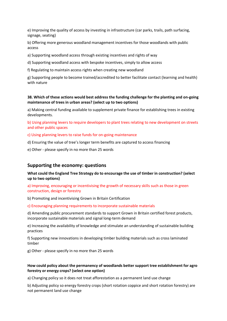e) Improving the quality of access by investing in infrastructure (car parks, trails, path surfacing, signage, seating)

b) Offering more generous woodland management incentives for those woodlands with public access

a) Supporting woodland access through existing incentives and rights of way

d) Supporting woodland access with bespoke incentives, simply to allow access

f) Regulating to maintain access rights when creating new woodland

g) Supporting people to become trained/accredited to better facilitate contact (learning and health) with nature

#### **38. Which of these actions would best address the funding challenge for the planting and on-going maintenance of trees in urban areas? (select up to two options)**

a) Making central funding available to supplement private finance for establishing trees in existing developments.

b) Using planning levers to require developers to plant trees relating to new development on streets and other public spaces

c) Using planning levers to raise funds for on-going maintenance

d) Ensuring the value of tree's longer term benefits are captured to access financing

e) Other - please specify in no more than 25 words

#### **Supporting the economy: questions**

**What could the England Tree Strategy do to encourage the use of timber in construction? (select up to two options)**

a) Improving, encouraging or incentivising the growth of necessary skills such as those in green construction, design or forestry

b) Promoting and incentivising Grown in Britain Certification

c) Encouraging planning requirements to incorporate sustainable materials

d) Amending public procurement standards to support Grown in Britain certified forest products, incorporate sustainable materials and signal long-term demand

e) Increasing the availability of knowledge and stimulate an understanding of sustainable building practices

f) Supporting new innovations in developing timber building materials such as cross laminated timber

g) Other - please specify in no more than 25 words

#### **How could policy about the permanency of woodlands better support tree establishment for agro forestry or energy crops? (select one option)**

a) Changing policy so it does not treat afforestation as a permanent land use change

b) Adjusting policy so energy forestry crops (short rotation coppice and short rotation forestry) are not permanent land use change